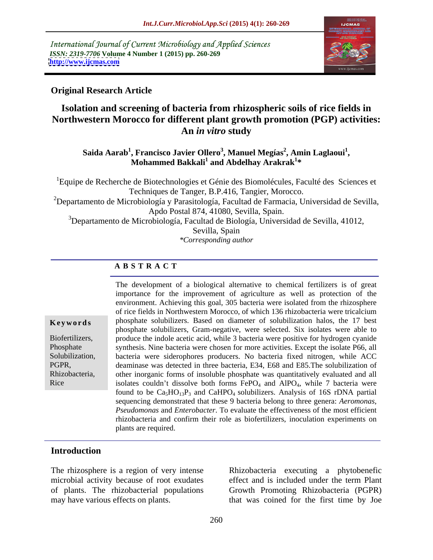International Journal of Current Microbiology and Applied Sciences *ISSN: 2319-7706* **Volume 4 Number 1 (2015) pp. 260-269 <http://www.ijcmas.com>**



## **Original Research Article**

## **Isolation and screening of bacteria from rhizospheric soils of rice fields in Northwestern Morocco for different plant growth promotion (PGP) activities: An** *in vitro* **study**

**Saida Aarab<sup>1</sup> , Francisco Javier Ollero<sup>3</sup> , Manuel Megías<sup>2</sup> , Amin Laglaoui<sup>1</sup>** , Francisco Javier Ollero<sup>3</sup>, Manuel Megías<sup>2</sup>, Amin Laglaoui<sup>1</sup>,<br>Mohammed Bakkali<sup>1</sup> and Abdelhay Arakrak<sup>1</sup>\* **\***

1Equipe de Recherche de Biotechnologies et Génie des Biomolécules, Faculté des Sciences et Techniques de Tanger, B.P.416, Tangier, Morocco. <sup>2</sup>Departamento de Microbiología y Parasitología, Facultad de Farmacia, Universidad de Sevilla, Apdo Postal 874, 41080, Sevilla, Spain. <sup>3</sup>Departamento de Microbiología, Facultad de Biología, Universidad de Sevilla, 41012, Sevilla, Spain

*\*Corresponding author* 

## **A B S T R A C T**

Rice

The development of a biological alternative to chemical fertilizers is of great importance for the improvement of agriculture as well as protection of the environment. Achieving this goal, 305 bacteria were isolated from the rhizosphere of rice fields in Northwestern Morocco, of which 136 rhizobacteria were tricalcium **Keywords** phosphate solubilizers. Based on diameter of solubilization halos, the 17 best phosphate solubilizers, Gram-negative, were selected. Six isolates were able to Biofertilizers, produce the indole acetic acid, while 3 bacteria were positive for hydrogen cyanide Phosphate synthesis. Nine bacteria were chosen for more activities. Except the isolate P66, all Solubilization, bacteria were siderophores producers. No bacteria fixed nitrogen, while ACC deaminase was detected in three bacteria, E34, E68 and E85.The solubilization of PGPR, Rhizobacteria, other inorganic forms of insoluble phosphate was quantitatively evaluated and all isolates couldn't dissolve both forms  $FePO<sub>4</sub>$  and  $AlPO<sub>4</sub>$ , while 7 bacteria were found to be  $Ca<sub>5</sub>HO<sub>13</sub>P<sub>3</sub>$  and CaHPO<sub>4</sub> solubilizers. Analysis of 16S rDNA partial sequencing demonstrated that these 9 bacteria belong to three genera: *Aeromonas*, *Pseudomonas* and *Enterobacter*. To evaluate the effectiveness of the most efficient rhizobacteria and confirm their role as biofertilizers, inoculation experiments on plants are required.

## **Introduction**

The rhizosphere is a region of very intense Rhizobacteria executing a phytobenefic microbial activity because of root exudates effect and is included under the term Plant of plants. The rhizobacterial populations Growth Promoting Rhizobacteria (PGPR) may have various effects on plants. that was coined for the first time by Joe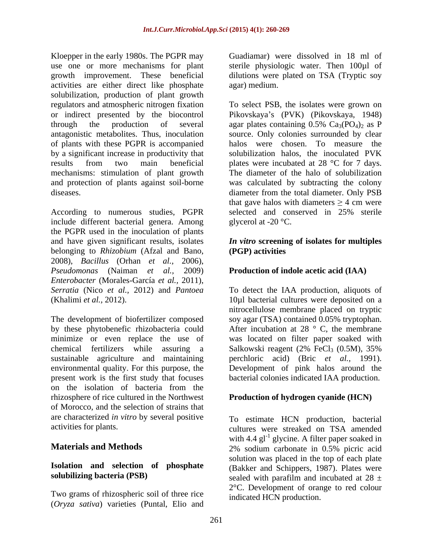Kloepper in the early 1980s. The PGPR may Guadiamar) were dissolved in 18 ml of use one or more mechanisms for plant sterile physiologic water. Then 100µl of growth improvement. These beneficial dilutions were plated on TSA (Tryptic soy activities are either direct like phosphate solubilization, production of plant growth regulators and atmospheric nitrogen fixation To select PSB, the isolates were grown on or indirect presented by the biocontrol Pikovskaya's (PVK) (Pikovskaya, 1948) through the production of several agar plates containing  $0.5\%$  Ca<sub>3</sub>(PO<sub>4</sub>)<sub>2</sub> as P antagonistic metabolites. Thus, inoculation source. Only colonies surrounded by clear of plants with these PGPR is accompanied by a significant increase in productivity that solubilization halos, the inoculated PVK results from two main beneficial plates were incubated at 28 °C for 7 days. mechanisms: stimulation of plant growth The diameter of the halo of solubilization and protection of plants against soil-borne was calculated by subtracting the colony diseases. diameter from the total diameter. Only PSB

According to numerous studies, PGPR selected and conserved in 25% sterile include different bacterial genera. Among the PGPR used in the inoculation of plants and have given significant results, isolates *In vitro* **screening of isolates for multiples** belonging to *Rhizobium* (Afzal and Bano, 2008), *Bacillus* (Orhan *et al.,* 2006), *Pseudomonas* (Naiman *et al.,* 2009) **Production of indole acetic acid (IAA)** *Enterobacter* (Morales-García *et al.,* 2011), *Serratia* (Nico *et al.,* 2012) and *Pantoea* To detect the IAA production, aliquots of (Khalimi *et al.,* 2012). 10µl bacterial cultures were deposited on a

The development of biofertilizer composed by these phytobenefic rhizobacteria could After incubation at 28 ° C, the membrane minimize or even replace the use of was located on filter paper soaked with chemical fertilizers while assuring a Salkowski reagent (2% FeCl<sub>3</sub> (0.5M), 35% sustainable agriculture and maintaining environmental quality. For this purpose, the Development of pink halos around the present work is the first study that focuses bacterial colonies indicated IAA production. on the isolation of bacteria from the rhizosphere of rice cultured in the Northwest **Production of hydrogen cyanide (HCN)**  of Morocco, and the selection of strains that are characterized *in vitro* by several positive

# **Isolation and selection of phosphate**

Two grams of rhizospheric soil of three rice (*Oryza sativa*) varieties (Puntal, Elio and

agar) medium.

agar plates containing  $0.5\%$  Ca<sub>3</sub>(PO<sub>4</sub>)<sub>2</sub> as P halos were chosen. To measure the that gave halos with diameters  $\geq 4$  cm were selected and conserved in 25% sterile glycerol at -20 °C.

# **(PGP) activities**

nitrocellulose membrane placed on tryptic soy agar (TSA) contained 0.05% tryptophan. Salkowski reagent (2% FeCl<sub>3</sub> (0.5M), 35% perchloric acid) (Bric *et al.,* 1991).

activities for plants. cultures were streaked on TSA amended **Materials and Methods** 2% sodium carbonate in 0.5% picric acid **solubilizing bacteria (PSB)** sealed with parafilm and incubated at  $28 \pm$ To estimate HCN production, bacterial with 4.4  $gl^{-1}$  glycine. A filter paper soaked in 2% sodium carbonate in 0.5% picric acid solution was placed in the top of each plate (Bakker and Schippers, 1987). Plates were 2°C. Development of orange to red colour indicated HCN production.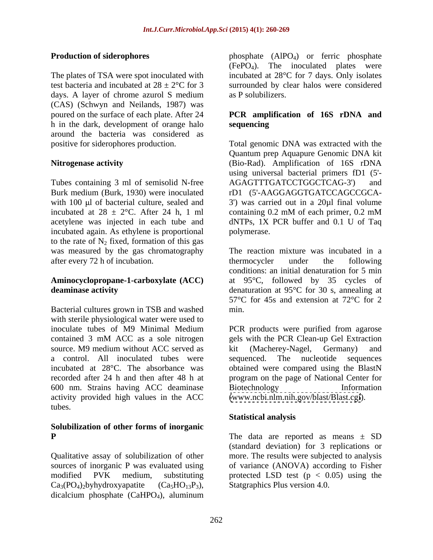The plates of TSA were spot inoculated with (CAS) (Schwyn and Neilands, 1987) was poured on the surface of each plate. After 24 **PCR amplification of 16S rDNA and**  h in the dark, development of orange halo around the bacteria was considered as

Tubes containing 3 ml of semisolid N-free AGAGTTTGATCCTGGCTCAG-3') and Burk medium (Burk, 1930) were inoculated incubated at  $28 \pm 2$ °C. After 24 h, 1 ml containing 0.2 mM of each primer, 0.2 mM incubated again. As ethylene is proportional to the rate of  $N_2$  fixed, formation of this gas after every 72 h of incubation. the thermocycler under the following

Bacterial cultures grown in TSB and washed with sterile physiological water were used to inoculate tubes of M9 Minimal Medium PCR products were purified from agarose contained 3 mM ACC as a sole nitrogen source. M9 medium without ACC served as  $\quad$  kit (Macherey-Nagel, Germany) and a control. All inoculated tubes were sequenced. The nucleotide sequences incubated at 28°C. The absorbance was obtained were compared using the BlastN recorded after 24 h and then after 48 h at program on the page of National Center for 600 nm. Strains having ACC deaminase activity provided high values in the ACC tubes.

## **Solubilization of other forms of inorganic**

 $Ca<sub>3</sub>(PO<sub>4</sub>)<sub>2</sub>$ byhydroxyapatite  $(Ca<sub>5</sub>HO<sub>13</sub>P<sub>3</sub>)$ , Statgraphics Plus version 4.0. dicalcium phosphate (CaHPO<sub>4</sub>), aluminum

**Production of siderophores** phosphate (AlPO<sub>4</sub>) or ferric phosphate test bacteria and incubated at  $28 \pm 2^{\circ}$ C for 3 surrounded by clear halos were considered days. A layer of chrome azurol S medium as P solubilizers.  $(FePO<sub>4</sub>)$ . The inoculated plates were incubated at 28°C for 7 days. Only isolates as P solubilizers.

# **sequencing**

positive for siderophores production. Total genomic DNA was extracted with the **Nitrogenase activity** (Bio-Rad). Amplification of 16S rDNA with 100  $\mu$ l of bacterial culture, sealed and  $\sigma$  3') was carried out in a 20 $\mu$ l final volume acetylene was injected in each tube and dNTPs, 1X PCR buffer and 0.1 U of Taq Quantum prep Aquapure Genomic DNA kit using universal bacterial primers fD1 (5'- AGAGTTTGATCCTGGCTCAG-3') rD1 (5'-AAGGAGGTGATCCAGCCGCA containing 0.2 mM of each primer, 0.2 mM polymerase.

was measured by the gas chromatography The reaction mixture was incubated in a **Aminocyclopropane-1-carboxylate (ACC)** at 95°C, followed by 35 cycles of **deaminase activity** denaturation at 95<sup>°</sup>C for 30 s, annealing at thermocycler under the following conditions: an initial denaturation for 5 min 57°C for 45s and extension at 72°C for 2 min.

> gels with the PCR Clean-up Gel Extraction kit (Macherey-Nagel, Germany) and sequenced. The nucleotide sequences Biotechnology Information [\(www.ncbi.nlm.nih.gov/blast/Blast.cgi](http://www.ncbi.nlm.nih.gov/blast/Blast.cgi)).

## **Statistical analysis**

**P** The data are reported as means ± SD Qualitative assay of solubilization of other more. The results were subjected to analysis sources of inorganic P was evaluated using of variance (ANOVA) according to Fisher modified PVK medium, substituting protected LSD test (p < 0.05) using the (standard deviation) for 3 replications or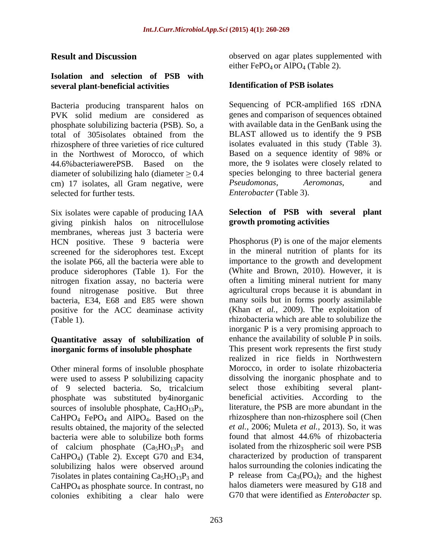## **Isolation and selection of PSB with several plant-beneficial activities**

PVK solid medium are considered as phosphate solubilizing bacteria (PSB). So, a in the Northwest of Morocco, of which Based on a sequence identity of 98% or diameter of solubilizing halo (diameter  $\geq 0.4$  species belonging to three bacter<br>cm) 17 isolates all Gram negative were *Pseudomonas*. Aeromonas. cm) 17 isolates, all Gram negative, were *Pseudomonas*, *Aeromonas*, and selected for further tests.

Six isolates were capable of producing IAA giving pinkish halos on nitrocellulose membranes, whereas just 3 bacteria were HCN positive. These 9 bacteria were screened for the siderophores test. Except the isolate P66, all the bacteria were able to produce siderophores (Table 1). For the nitrogen fixation assay, no bacteria were found nitrogenase positive. But three<br>bacteria. E34. E68 and E85 were shown positive for the ACC deaminase activity

## **Quantitative assay of solubilization of inorganic forms of insoluble phosphate**

Other mineral forms of insoluble phosphate were used to assess P solubilizing capacity of 9 selected bacteria. So, tricalcium phosphate was substituted by4inorganic results obtained, the majority of the selected et al., 2006; Muleta et al., 2013). So, it was<br>hacteria were able to solubilize both forms found that almost 44.6% of rhizobacteria bacteria were able to solubilize both forms of calcium phosphate  $(Ca_5HO_{13}P_3$  and CaHPO4) (Table 2). Except G70 and E34, solubilizing halos were observed around 7isolates in plates containing  $Ca<sub>5</sub>HO<sub>13</sub>P<sub>3</sub>$  and CaHPO4 as phosphate source. In contrast, no colonies exhibiting a clear halo were

**Result and Discussion blue observed on agar plates supplemented with** either FePO<sub>4</sub> or AlPO<sub>4</sub> (Table 2).

## **Identification of PSB isolates**

Bacteria producing transparent halos on Sequencing of PCR-amplified 16S rDNA total of 305isolates obtained from the rhizosphere of three varieties of rice cultured isolates evaluated in this study (Table 3). 44.6%bacteriawerePSB. Based on the more, the 9 isolates were closely related to genes and comparison of sequences obtained with available data in the GenBank using the BLAST allowed us to identify the 9 PSB Based on a sequence identity of 98% or species belonging to three bacterial genera *Pseudomonas*, *Aeromonas*, and *Enterobacter* (Table 3).

## **Selection of PSB with several plant growth promoting activities**

bacteria, E34, E68 and E85 were shown many soils but in forms poorly assimilable (Table 1). rhizobacteria which are able to solubilize the sources of insoluble phosphate,  $Ca_5HO_{13}P_3$ , literature, the PSB are more abundant in the CaHPO<sub>4</sub> FePO<sub>4</sub> and AlPO<sub>4</sub>. Based on the rhizosphere than non-rhizosphere soil (Chen Phosphorus  $(P)$  is one of the major elements in the mineral nutrition of plants for its importance to the growth and development (White and Brown, 2010). However, it is often a limiting mineral nutrient for many agricultural crops because it is abundant in (Khan *et al.,* 2009). The exploitation of inorganic P is a very promising approach to enhance the availability of soluble P in soils. This present work represents the first study realized in rice fields in Northwestern Morocco, in order to isolate rhizobacteria dissolving the inorganic phosphate and to select those exhibiting several plant beneficial activities. According to the literature, the PSB are more abundant in the rhizosphere than non-rhizosphere soil (Chen *et al.,* 2006; Muleta *et al.,* 2013). So, it was found that almost 44.6% of rhizobacteria isolated from the rhizospheric soil were PSB characterized by production of transparent halos surrounding the colonies indicating the P release from  $Ca<sub>3</sub>(PO<sub>4</sub>)<sub>2</sub>$  and the highest halos diameters were measured by G18 and G70 that were identified as *Enterobacter* sp.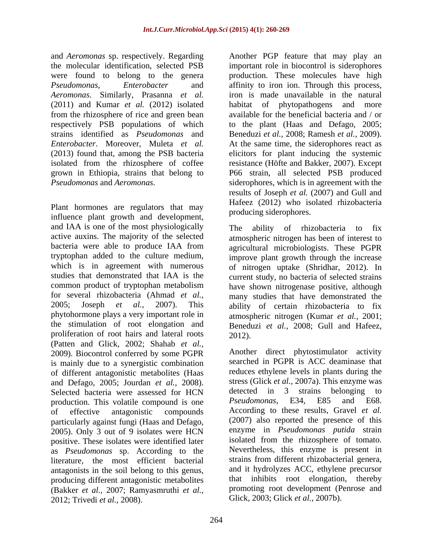Plant hormones are regulators that may influence plant growth and development, and IAA is one of the most physiologically The ability of rhizobacteria to fix tryptophan added to the culture medium, proliferation of root hairs and lateral roots  $2012$ ). (Patten and Glick, 2002; Shahab *et al.,* 2009). Biocontrol conferred by some PGPR is mainly due to a synergistic combination of different antagonistic metabolites (Haas and Defago, 2005: Jourdan et al., 2008). and Defago, 2005; Jourdan *et al.,* 2008). stress (Glick *et al.,* 2007a). This enzyme was Selected bacteria were assessed for HCN detected in 3 strains belonging to production. This volatile compound is one Pseudomonas, E34, E85 and E68. of effective antagonistic compounds According to these results, Gravel *et al.* particularly against fungi (Haas and Defago, 2005). Only 3 out of 9 isolates were HCN positive. These isolates were identified later as *Pseudomonas* sp. According to the literature, the most efficient bacterial antagonists in the soil belong to this genus, producing different antagonistic metabolites (Bakker *et al.,* 2007; Ramyasmruthi *et al.,* 2012; Trivedi *et al.,* 2008). Glick, 2003; Glick *et al.,* 2007b).

and *Aeromonas* sp. respectively. Regarding Another PGP feature that may play an the molecular identification, selected PSB important role in biocontrol is siderophores were found to belong to the genera production. These molecules have high *Pseudomonas*, *Enterobacter* and affinity to iron ion. Through this process, *Aeromonas*. Similarly, Prasanna *et al.* iron is made unavailable in the natural (2011) and Kumar *et al.* (2012) isolated habitat of phytopathogens and more from the rhizosphere of rice and green bean available for the beneficial bacteria and / or respectively PSB populations of which to the plant (Haas and Defago, 2005; strains identified as *Pseudomonas* and Beneduzi *et al.,* 2008; Ramesh *et al.,* 2009). *Enterobacter*. Moreover, Muleta *et al.* At the same time, the siderophores react as (2013) found that, among the PSB bacteria elicitors for plant inducing the systemic isolated from the rhizosphere of coffee resistance (Höfte and Bakker, 2007). Except grown in Ethiopia, strains that belong to P66 strain, all selected PSB produced *Pseudomonas* and *Aeromonas*. siderophores, which is in agreement with the results of Joseph *et al.* (2007) and Gull and Hafeez (2012) who isolated rhizobacteria producing siderophores.

active auxins. The majority of the selected atmospheric nitrogen has been of interest to bacteria were able to produce IAA from agricultural microbiologists. These PGPR which is in agreement with numerous of nitrogen uptake (Shridhar, 2012). In studies that demonstrated that IAA is the current study, no bacteria of selected strains common product of tryptophan metabolism have shown nitrogenase positive, although for several rhizobacteria (Ahmad *et al.,* many studies that have demonstrated the 2005; Joseph *et al.,* 2007). This ability of certain rhizobacteria to fix phytohormone plays a very important role in atmospheric nitrogen (Kumar *et al.,* 2001; the stimulation of root elongation and Beneduzi *et al.,* 2008; Gull and Hafeez, The ability of rhizobacteria to fix improve plant growth through the increase 2012).

> Another direct phytostimulator activity searched in PGPR is ACC deaminase that reduces ethylene levels in plants during the detected in 3 strains belonging to *Pseudomonas*, E34, E85 and E68. (2007) also reported the presence of this enzyme in *Pseudomonas putida* strain isolated from the rhizosphere of tomato. Nevertheless, this enzyme is present in strains from different rhizobacterial genera, and it hydrolyzes ACC, ethylene precursor that inhibits root elongation, thereby promoting root development (Penrose and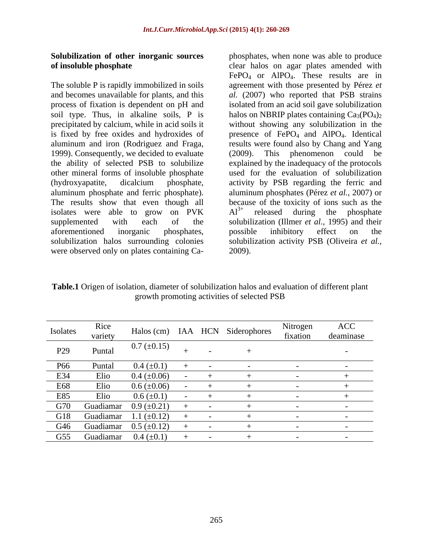## **Solubilization of other inorganic sources**

The soluble P is rapidly immobilized in soils and becomes unavailable for plants, and this *al.* (2007) who reported that PSB strains process of fixation is dependent on pH and isolated from an acid soil gave solubilization soil type. Thus, in alkaline soils, P is halos on NBRIP plates containing  $Ca_3(PO_4)_2$ precipitated by calcium, while in acid soils it without showing any solubilization in the is fixed by free oxides and hydroxides of  $pre,$  presence of  $FePO<sub>4</sub>$  and  $AlPO<sub>4</sub>$ . Identical aluminum and iron (Rodriguez and Fraga, results were found also by Chang and Yang 1999). Consequently, we decided to evaluate (2009). This phenomenon could be the ability of selected PSB to solubilize explained by the inadequacy of the protocols other mineral forms of insoluble phosphate used for the evaluation of solubilization (hydroxyapatite, dicalcium phosphate, activity by PSB regarding the ferric and aluminum phosphate and ferric phosphate). aluminum phosphates (Pérez *et al.,* 2007) or The results show that even though all because of the toxicity of ions such as the isolates were able to grow on  $PVK$   $Al^{3+}$  released during the phosphate supplemented with each of the solubilization (Illmer *et al.,* 1995) and their aforementioned inorganic phosphates, solubilization halos surrounding colonies solubilization activity PSB (Oliveira *et al.,*

**of insoluble phosphate**  clear halos on agar plates amended with **Solubilization of other inorganic sources** phosphates, when none was able to produce of insoluble phosphate and become survayible in soils are halos on ager plates anended with free soluble P is rapidly immobilized in so FePO<sub>4</sub> or AlPO<sub>4</sub>. These results are in agreement with those presented by Pérez *et*  (2009). This phenomenon could be  $Al^{3+}$  released during the phosphate released during the phosphate possible inhibitory effect on the 2009).

**Table.1** Origen of isolation, diameter of solubilization halos and evaluation of different plant growth promoting activities of selected PSB

| Isolates | Rice    | Halos (cm) IAA HCN Siderophores  |  | Nitrogen | ACC       |
|----------|---------|----------------------------------|--|----------|-----------|
|          | variety |                                  |  | fixation | deaminase |
| P29      | Puntal  | $0.7~(\pm 0.15)$                 |  |          |           |
| P66      | Puntal  | $0.4~(\pm 0.1)$                  |  |          |           |
| E34      | Elio    | $0.4~(\pm 0.06)$                 |  |          |           |
| E68      | Elio    | $0.6~(\pm 0.06)$                 |  |          |           |
| E85      | Elio    | $0.6 (\pm 0.1)$                  |  |          |           |
|          |         | G70 Guadiamar $0.9 \ (\pm 0.21)$ |  |          |           |
|          |         | G18 Guadiamar $1.1 \pm 0.12$     |  |          |           |
|          |         | G46 Guadiamar $0.5 \ (\pm 0.12)$ |  |          |           |
|          |         | G55 Guadiamar $0.4 \ (\pm 0.1)$  |  |          |           |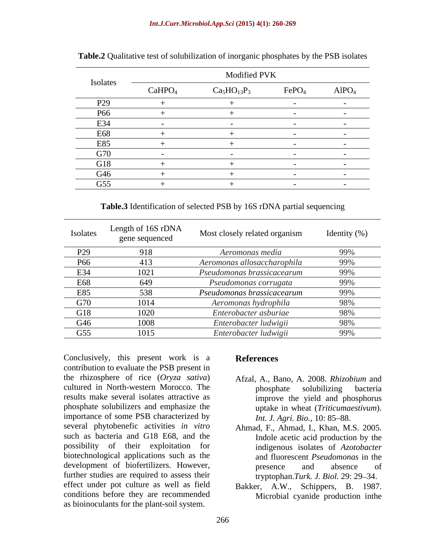## *Int.J.Curr.Microbiol.App.Sci* **(2015) 4(1): 260-269**

|                                  | Modified PVK       |             |                   |                   |  |  |
|----------------------------------|--------------------|-------------|-------------------|-------------------|--|--|
| Isolates                         | CaHPO <sub>4</sub> | $Ca5HO13P3$ | FePO <sub>4</sub> | AlPO <sub>4</sub> |  |  |
| $\mathbf{D}\mathbf{D}\mathbf{D}$ |                    |             |                   |                   |  |  |
|                                  |                    |             |                   |                   |  |  |
| $\mathbf{r}$                     |                    |             |                   |                   |  |  |
|                                  |                    |             |                   |                   |  |  |
| E85                              |                    |             |                   |                   |  |  |
|                                  |                    |             |                   |                   |  |  |
|                                  |                    |             |                   |                   |  |  |
|                                  |                    |             |                   |                   |  |  |
| G55                              |                    |             |                   |                   |  |  |

**Table.2** Qualitative test of solubilization of inorganic phosphates by the PSB isolates

**Table.3** Identification of selected PSB by 16S rDNA partial sequencing

|     | Isolates Length of 16S rDNA<br>gene sequenced | Most closely related organism | Identity (%) |
|-----|-----------------------------------------------|-------------------------------|--------------|
| P29 |                                               | Aeromonas media               |              |
| P66 | 413                                           | Aeromonas allosaccharophila   | 99%          |
| E34 |                                               | Pseudomonas brassicacearum    | 99%          |
| E68 | 649                                           | Pseudomonas corrugata         | 99%          |
| E85 | 538                                           | Pseudomonas brassicacearum    | 99%          |
| G70 | 1014                                          | Aeromonas hydrophila          | 98%          |
| G18 | 1020                                          | Enterobacter asburiae         | 98%          |
| G46 | 1008                                          | Enterobacter ludwigii         | 98%          |
| G55 | 1015                                          | Enterobacter ludwigii         | 99%          |

Conclusively, this present work is a **References** contribution to evaluate the PSB present in the rhizosphere of rice (*Oryza sativa*) cultured in North-western Morocco. The results make several isolates attractive as phosphate solubilizers and emphasize the importance of some PSB characterized by several phytobenefic activities *in vitro* Ahmad, F., Ahmad, I., Khan, M.S. 2005. such as bacteria and G18 E68, and the possibility of their exploitation for biotechnological applications such as the development of biofertilizers. However, because the presence and absence of further studies are required to assess their effect under pot culture as well as field conditions before they are recommended as bioinoculants for the plant-soil system.

## **References**

- Afzal, A., Bano, A. 2008. *Rhizobium* and phosphate solubilizing bacteria improve the yield and phosphorus uptake in wheat (*Triticumaestivum*). *Int. J. Agri. Bio., 10: 85-88.*
- Indole acetic acid production by the indigenous isolates of *Azotobacter* and fluorescent *Pseudomonas* in the presence and absence of tryptophan.*Turk. J. Biol.* 29: 29–34.
- Bakker, A.W., Schippers, B. 1987. Microbial cyanide production inthe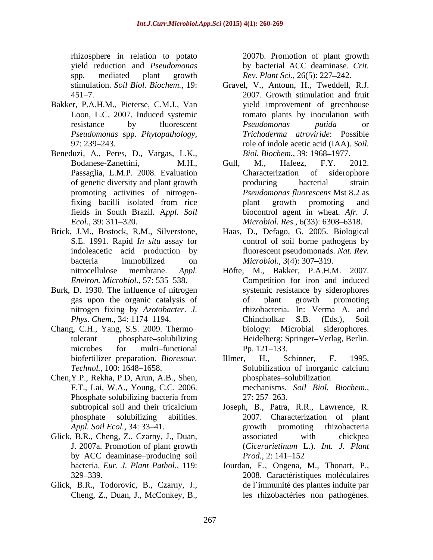rhizosphere in relation to potato yield reduction and *Pseudomonas* by bacterial ACC deaminase. *Crit.* spp. mediated plant growth *Rev. Plant Sci.,* 26(5): 227 242.

- Bakker, P.A.H.M., Pieterse, C.M.J., Van *Pseudomonas* spp. *Phytopathology,*
- Beneduzi, A., Peres, D., Vargas, L.K.,
- Brick, J.M., Bostock, R.M., Silverstone, Haas, D., Defago, G. 2005. Biological
- Burk, D. 1930. The influence of nitrogen nitrogen fixing by *Azotobacter*. *J.*
- Chang, C.H., Yang, S.S. 2009. Thermo
- Chen,Y.P., Rekha, P.D, Arun, A.B., Shen, F.T., Lai, W.A., Young, C.C. 2006.
- by ACC deaminase-producing soil Prod., 2: 141-152
- Glick, B.R., Todorovic, B., Czarny, J.,

2007b. Promotion of plant growth

- stimulation. *Soil Biol. Biochem.,* 19: Gravel, V., Antoun, H., Tweddell, R.J. 451 7. 2007. Growth stimulation and fruit Loon, L.C. 2007. Induced systemic tomato plants by inoculation with resistance by fluorescent *Pseudomonas putida* or 97: 239 243. role of indole acetic acid (IAA). *Soil.*  yield improvement of greenhouse *Pseudomonas putida* or *Trichoderma atroviride*: Possible *Biol. Biochem., 39: 1968-1977.*
- Bodanese-Zanettini, M.H., Gull, M., Hafeez, F.Y. 2012. Passaglia, L.M.P. 2008. Evaluation Characterization of siderophore of genetic diversity and plant growth **producing** bacterial strain promoting activities of nitrogen-*Pseudomonas fluorescens* Mst 8.2 as fixing bacilli isolated from rice fields in South Brazil. A*ppl. Soil* biocontrol agent in wheat. *Afr. J. Ecol.*, 39: 311–320. *Microbiol. Res.*, 6(33): 6308–6318. Gull, M., Hafeez, F.Y. 2012. Characterization of siderophore producing bacterial strain plant growth promoting and
- S.E. 1991. Rapid *In situ* assay for control of soil-borne pathogens by indoleacetic acid production by fluorescent pseudomonads. *Nat. Rev.* bacteria immobilized on *Microbiol.*, 3(4): 307–319. *Microbiol.,* 3(4): 307–319.
- nitrocellulose membrane. *Appl.*  Höfte, M., Bakker, P.A.H.M. 2007. *Environ. Microbiol.*, 57: 535–538. Competition for iron and induced gas upon the organic catalysis of *Phys. Chem.,* 34: 1174–1194. Chincholkar S.B. (Eds.), Soil tolerant phosphate solubilizing Heidelberg: Springer Verlag, Berlin. microbes for multi-functional Pp. 121–133. systemic resistance by siderophores of plant growth promoting rhizobacteria. In: Verma A. and Chincholkar S.B. (Eds.), Soil biology: Microbial siderophores. Pp. 121–133.
- biofertilizer preparation. *Bioresour. Technol.,* 100: 1648–1658. Solubilization of inorganic calcium Phosphate solubilizing bacteria from  $27: 257-263$ . Illmer, H., Schinner, F. 1995. Solubilization of inorganic calcium phosphates-solubilization mechanisms. *Soil Biol. Biochem.,* 27: 257 263.
- subtropical soil and their tricalcium Joseph, B., Patra, R.R., Lawrence, R. phosphate solubilizing abilities. 2007. Characterization of plant *Appl. Soil Ecol.,* 34: 33–41. **Exercía Exercía Expanding Exercíal Exercíal Exercíal Exercíal EXECO** Glick, B.R., Cheng, Z., Czarny, J., Duan, associated with chickpea J. 2007a. Promotion of plant growth (*Cicerarietinum* L.). *Int. J. Plant* growth promoting rhizobacteria associated with chickpea *Prod.,* 2: 141–152
	- bacteria. *Eur. J. Plant Pathol.,* 119: Jourdan, E., Ongena, M., Thonart, P., 329 339. 2008. Caractéristiques moléculaires Cheng, Z., Duan, J., McConkey, B., les rhizobactéries non pathogènes.de l'immunité des plantes induite par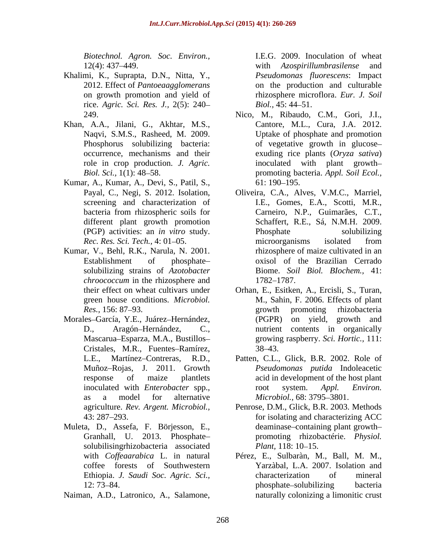*Biotechnol. Agron. Soc. Environ.,*

- Khalimi, K., Suprapta, D.N., Nitta, Y., rice. *Agric. Sci. Res. J.,* 2(5): 240
- Khan, A.A., Jilani, G., Akhtar, M.S., role in crop production. *J. Agric.*
- Kumar, A., Kumar, A., Devi, S., Patil, S.,
- Kumar, V., Behl, R.K., Narula, N. 2001. solubilizing strains of *Azotobacter chroococcum* in the rhizosphere and 1782–1787.
- Morales-García, Y.E., Juárez-Hernández, Cristales, M.R., Fuentes-Ramírez, 38-43. as a model for alternative *Microbiol*., 68: 3795–3801.
- Muleta, D., Assefa, F. Börjesson, E., solubilisingrhizobacteria associated *Plant*, 118: 10–15.
- Naiman, A.D., Latronico, A., Salamone,

12(4): 437 449. with *Azospirillumbrasilense* and 2012. Effect of *Pantoeaagglomerans* on the production and culturable on growth promotion and yield of rhizosphere microflora. *Eur. J. Soil* I.E.G. 2009. Inoculation of wheat *Pseudomonas fluorescens*: Impact *Biol.,* 45: 44–51.

- 249. Nico, M., Ribaudo, C.M., Gori, J.I., Naqvi, S.M.S., Rasheed, M. 2009. Uptake of phosphate and promotion Phosphorus solubilizing bacteria: of vegetative growth in glucose occurrence, mechanisms and their exuding rice plants (*Oryza sativa*) *Biol. Sci.,* 1(1): 48–58. The promoting bacteria. *Appl. Soil Ecol.,* Cantore, M.L., Cura, J.A. 2012. inoculated with plant growth  $61: 190 - 195.$
- Payal, C., Negi, S. 2012. Isolation, Oliveira, C.A., Alves, V.M.C., Marriel, screening and characterization of I.E., Gomes, E.A., Scotti, M.R., bacteria from rhizospheric soils for Carneiro, N.P., Guimarães, C.T., different plant growth promotion Schaffert, R.E., Sá, N.M.H. 2009. (PGP) activities: an *in vitro* study. *Rec. Res. Sci. Tech.,* 4: 01–05. The microorganisms isolated from Establishment of phosphate– oxisol of the Brazilian Cerrado Carneiro, N.P., Guimarães, C.T., Phosphate solubilizing microorganisms isolated from rhizosphere of maize cultivated in an Biome. *Soil Biol. BIochem.,* 41: 1782–1787.
- their effect on wheat cultivars under Orhan, E., Esitken, A., Ercisli, S., Turan, green house conditions. *Microbiol.*  M., Sahin, F. 2006. Effects of plant *Res.*, 156: 87–93. *Res.*, 156: 87–93. D., Aragón–Hernández, C., nutrient contents in organically Mascarua Esparza, M.A., Bustillos growing raspberry. *Sci. Hortic.,* 111: growth promoting rhizobacteria (PGPR) on yield, growth and 38 43.
- L.E., Martínez-Contreras, R.D., Patten, C.L., Glick, B.R. 2002. Role of Muñoz Rojas, J. 2011. Growth *Pseudomonas putida* Indoleacetic response of maize plantlets acid in development of the host plant inoculated with *Enterobacter* spp., coot system. Appl. *Environ.* root system. *Appl. Environ. Microbiol.,* 68: 3795–3801.
- agriculture. *Rev. Argent. Microbiol.,* Penrose, D.M., Glick, B.R. 2003. Methods 43: 287 293. for isolating and characterizing ACC Granhall, U. 2013. Phosphate promoting rhizobactérie. *Physiol.*  deaminase-containing plant growth-*Plant,* 118: 10–15.
- with *Coffeaarabica* L. in natural Pérez, E., Sulbaràn, M., Ball, M. M., coffee forests of Southwestern Yarzàbal, L.A. 2007. Isolation and Ethiopia. *J. Saudi Soc. Agric. Sci.,* 12: 73–84. https://www.bookbilizing.com/hosphate-solubilizing bacterial characterization of mineral phosphate–solubilizing bacteria naturally colonizing a limonitic crust